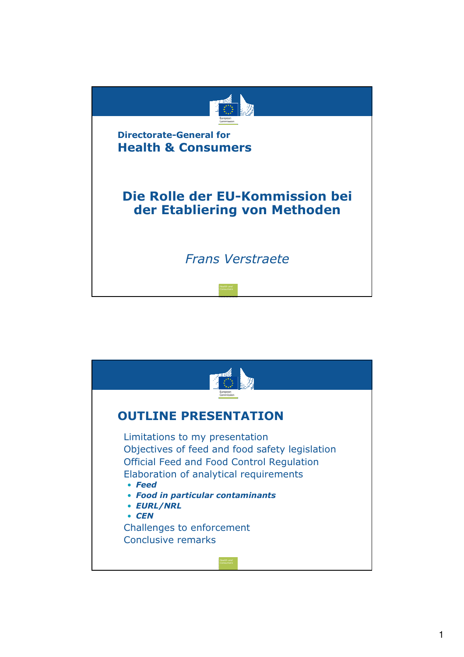

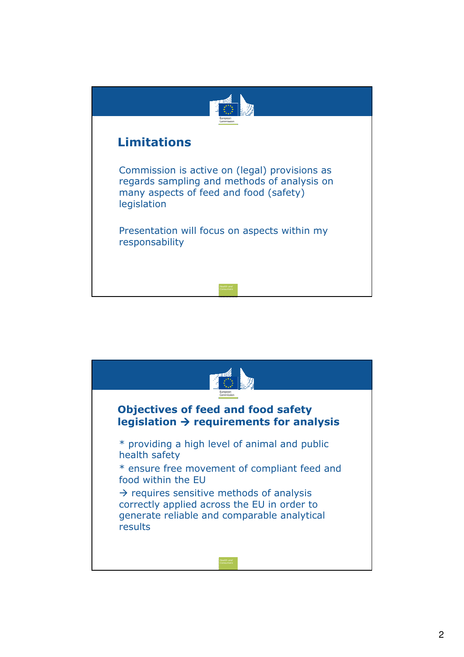

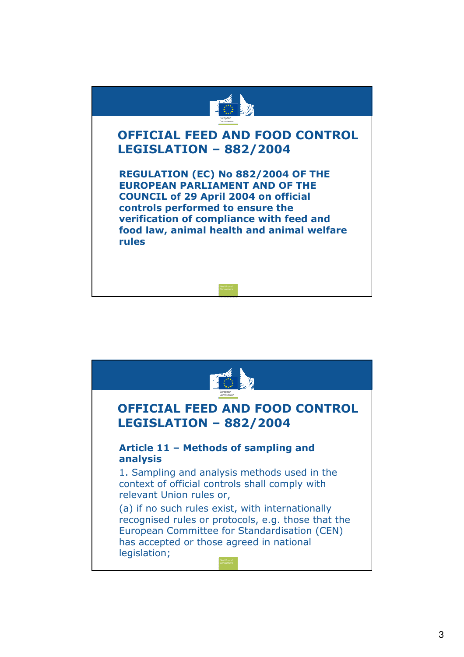

## OFFICIAL FEED AND FOOD CONTROL LEGISLATION – 882/2004

• REGULATION (EC) No 882/2004 OF THE EUROPEAN PARLIAMENT AND OF THE COUNCIL of 29 April 2004 on official controls performed to ensure the verification of compliance with feed and food law, animal health and animal welfare rules

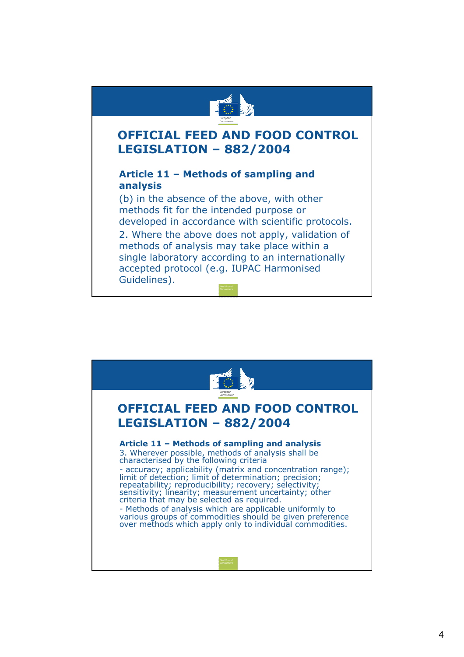

## OFFICIAL FEED AND FOOD CONTROL LEGISLATION – 882/2004

## • Article 11 – Methods of sampling and analysis

(b) in the absence of the above, with other methods fit for the intended purpose or developed in accordance with scientific protocols.

2. Where the above does not apply, validation of methods of analysis may take place within a single laboratory according to an internationally accepted protocol (e.g. IUPAC Harmonised Guidelines).

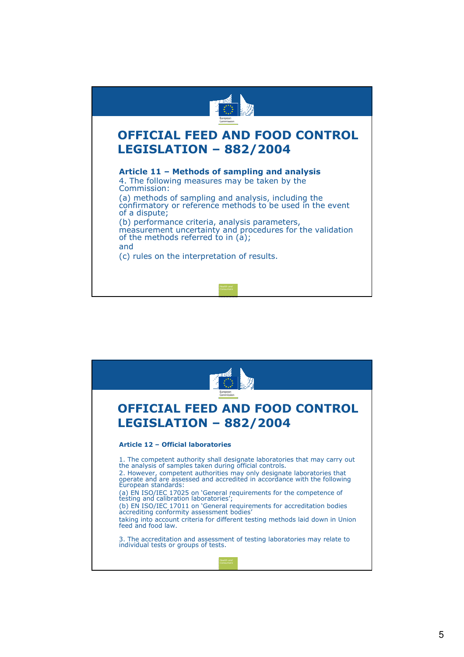

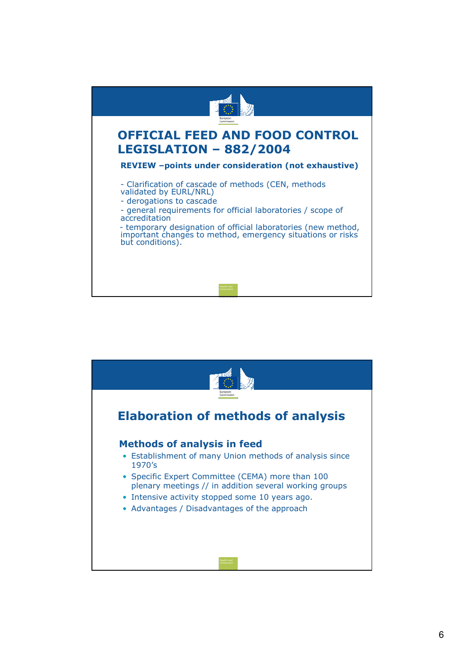

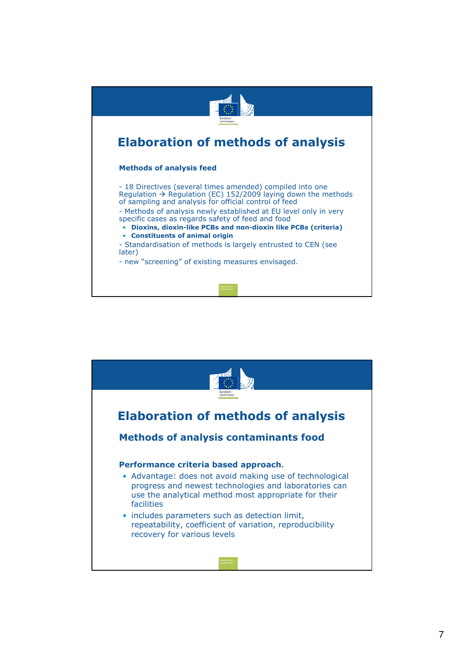

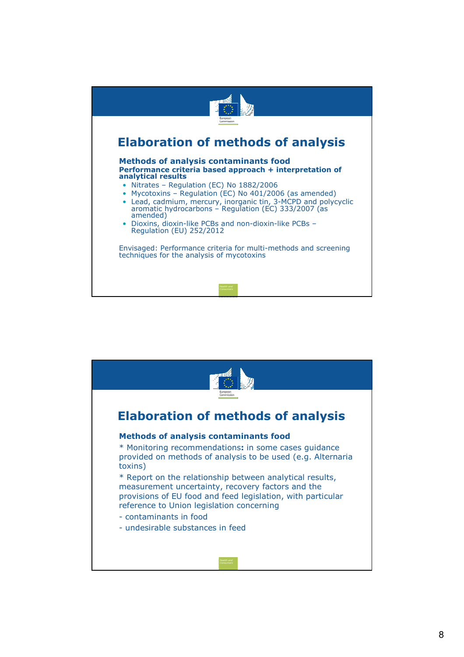

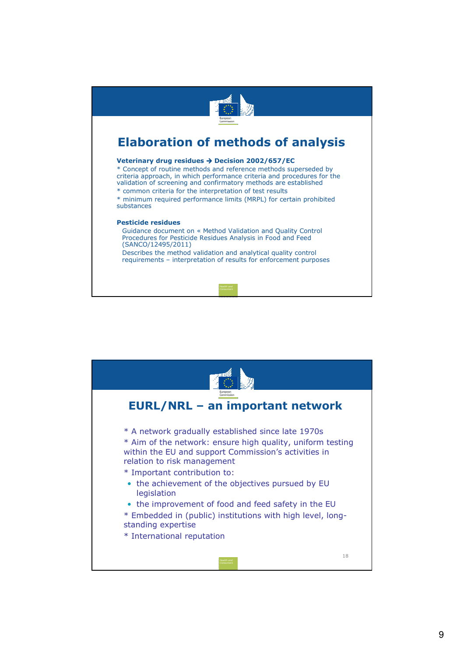

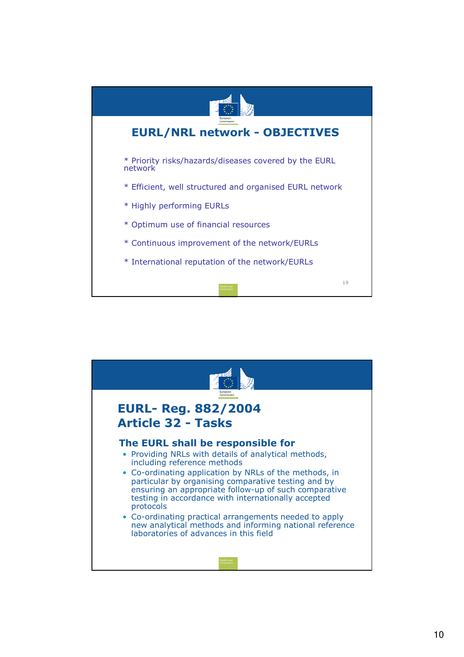

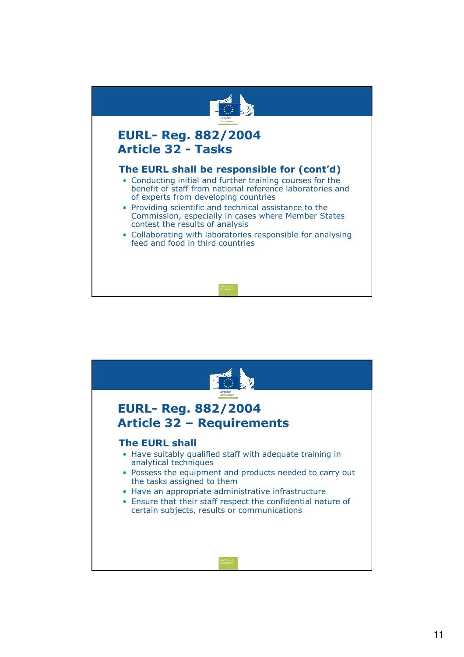

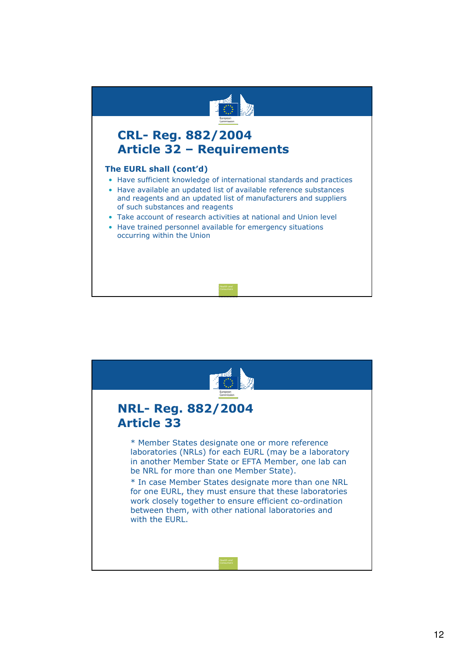

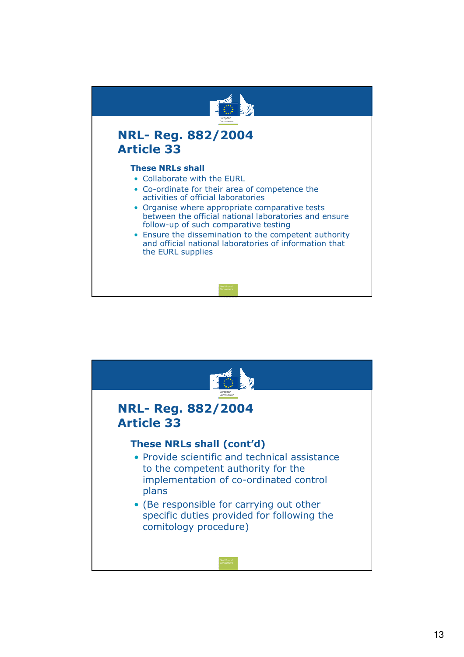

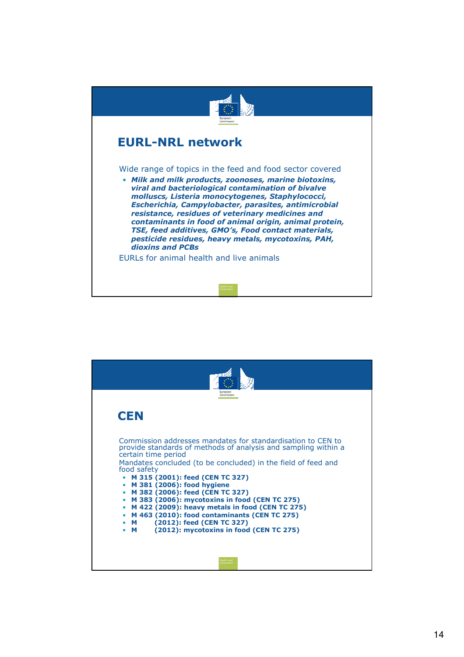

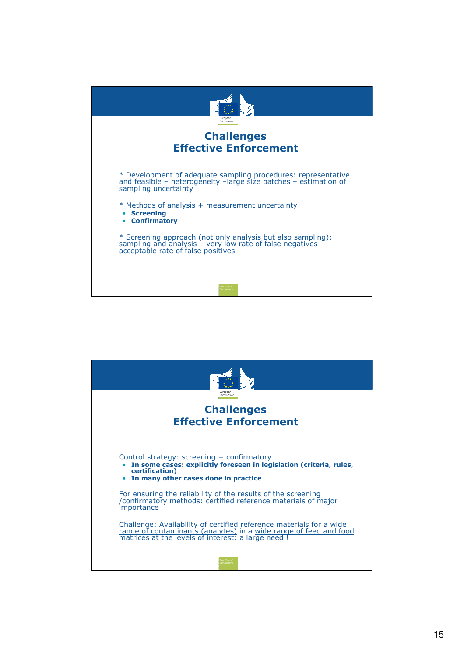